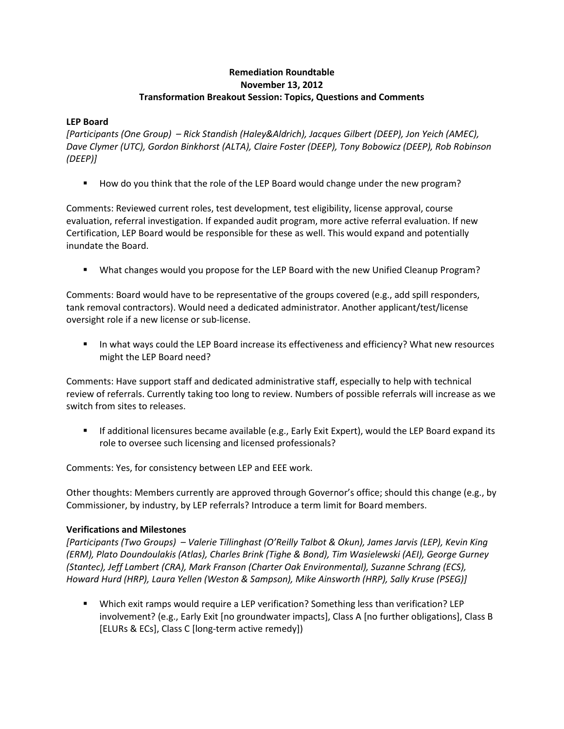# **Remediation Roundtable November 13, 2012 Transformation Breakout Session: Topics, Questions and Comments**

## **LEP Board**

*[Participants (One Group) – Rick Standish (Haley&Aldrich), Jacques Gilbert (DEEP), Jon Yeich (AMEC), Dave Clymer (UTC), Gordon Binkhorst (ALTA), Claire Foster (DEEP), Tony Bobowicz (DEEP), Rob Robinson (DEEP)]*

How do you think that the role of the LEP Board would change under the new program?

Comments: Reviewed current roles, test development, test eligibility, license approval, course evaluation, referral investigation. If expanded audit program, more active referral evaluation. If new Certification, LEP Board would be responsible for these as well. This would expand and potentially inundate the Board.

What changes would you propose for the LEP Board with the new Unified Cleanup Program?

Comments: Board would have to be representative of the groups covered (e.g., add spill responders, tank removal contractors). Would need a dedicated administrator. Another applicant/test/license oversight role if a new license or sub-license.

**IF In what ways could the LEP Board increase its effectiveness and efficiency? What new resources** might the LEP Board need?

Comments: Have support staff and dedicated administrative staff, especially to help with technical review of referrals. Currently taking too long to review. Numbers of possible referrals will increase as we switch from sites to releases.

 If additional licensures became available (e.g., Early Exit Expert), would the LEP Board expand its role to oversee such licensing and licensed professionals?

Comments: Yes, for consistency between LEP and EEE work.

Other thoughts: Members currently are approved through Governor's office; should this change (e.g., by Commissioner, by industry, by LEP referrals? Introduce a term limit for Board members.

# **Verifications and Milestones**

*[Participants (Two Groups) – Valerie Tillinghast (O'Reilly Talbot & Okun), James Jarvis (LEP), Kevin King (ERM), Plato Doundoulakis (Atlas), Charles Brink (Tighe & Bond), Tim Wasielewski (AEI), George Gurney (Stantec), Jeff Lambert (CRA), Mark Franson (Charter Oak Environmental), Suzanne Schrang (ECS), Howard Hurd (HRP), Laura Yellen (Weston & Sampson), Mike Ainsworth (HRP), Sally Kruse (PSEG)]*

 Which exit ramps would require a LEP verification? Something less than verification? LEP involvement? (e.g., Early Exit [no groundwater impacts], Class A [no further obligations], Class B [ELURs & ECs], Class C [long-term active remedy])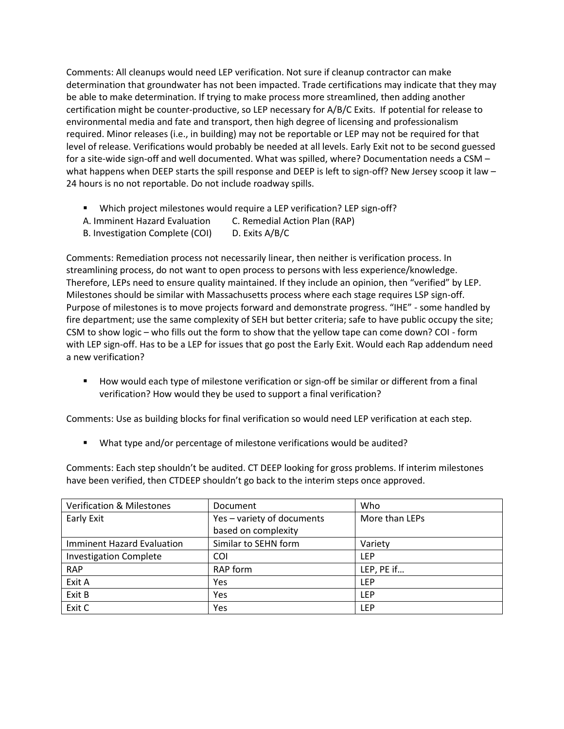Comments: All cleanups would need LEP verification. Not sure if cleanup contractor can make determination that groundwater has not been impacted. Trade certifications may indicate that they may be able to make determination. If trying to make process more streamlined, then adding another certification might be counter-productive, so LEP necessary for A/B/C Exits. If potential for release to environmental media and fate and transport, then high degree of licensing and professionalism required. Minor releases (i.e., in building) may not be reportable or LEP may not be required for that level of release. Verifications would probably be needed at all levels. Early Exit not to be second guessed for a site-wide sign-off and well documented. What was spilled, where? Documentation needs a CSM – what happens when DEEP starts the spill response and DEEP is left to sign-off? New Jersey scoop it law -24 hours is no not reportable. Do not include roadway spills.

- Which project milestones would require a LEP verification? LEP sign-off?
- A. Imminent Hazard Evaluation C. Remedial Action Plan (RAP)
- B. Investigation Complete (COI) D. Exits A/B/C

Comments: Remediation process not necessarily linear, then neither is verification process. In streamlining process, do not want to open process to persons with less experience/knowledge. Therefore, LEPs need to ensure quality maintained. If they include an opinion, then "verified" by LEP. Milestones should be similar with Massachusetts process where each stage requires LSP sign-off. Purpose of milestones is to move projects forward and demonstrate progress. "IHE" - some handled by fire department; use the same complexity of SEH but better criteria; safe to have public occupy the site; CSM to show logic – who fills out the form to show that the yellow tape can come down? COI - form with LEP sign-off. Has to be a LEP for issues that go post the Early Exit. Would each Rap addendum need a new verification?

 How would each type of milestone verification or sign-off be similar or different from a final verification? How would they be used to support a final verification?

Comments: Use as building blocks for final verification so would need LEP verification at each step.

■ What type and/or percentage of milestone verifications would be audited?

Comments: Each step shouldn't be audited. CT DEEP looking for gross problems. If interim milestones have been verified, then CTDEEP shouldn't go back to the interim steps once approved.

| <b>Verification &amp; Milestones</b> | Document                   | Who            |
|--------------------------------------|----------------------------|----------------|
| Early Exit                           | Yes - variety of documents | More than LEPs |
|                                      | based on complexity        |                |
| Imminent Hazard Evaluation           | Similar to SEHN form       | Variety        |
| <b>Investigation Complete</b>        | COI                        | <b>LEP</b>     |
| <b>RAP</b>                           | RAP form                   | LEP, PE if     |
| Exit A                               | Yes                        | <b>LEP</b>     |
| Exit B                               | Yes                        | <b>LEP</b>     |
| Exit C                               | Yes                        | <b>LEP</b>     |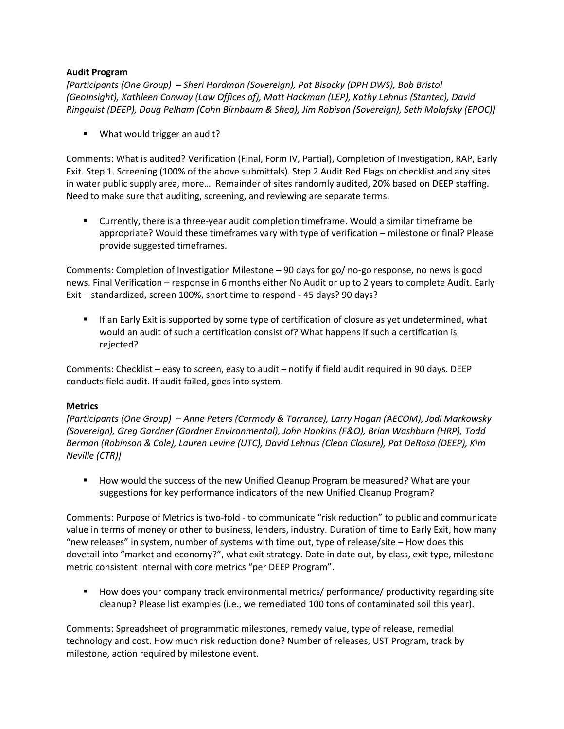## **Audit Program**

*[Participants (One Group) – Sheri Hardman (Sovereign), Pat Bisacky (DPH DWS), Bob Bristol (GeoInsight), Kathleen Conway (Law Offices of), Matt Hackman (LEP), Kathy Lehnus (Stantec), David Ringquist (DEEP), Doug Pelham (Cohn Birnbaum & Shea), Jim Robison (Sovereign), Seth Molofsky (EPOC)]*

**What would trigger an audit?** 

Comments: What is audited? Verification (Final, Form IV, Partial), Completion of Investigation, RAP, Early Exit. Step 1. Screening (100% of the above submittals). Step 2 Audit Red Flags on checklist and any sites in water public supply area, more… Remainder of sites randomly audited, 20% based on DEEP staffing. Need to make sure that auditing, screening, and reviewing are separate terms.

 Currently, there is a three-year audit completion timeframe. Would a similar timeframe be appropriate? Would these timeframes vary with type of verification – milestone or final? Please provide suggested timeframes.

Comments: Completion of Investigation Milestone – 90 days for go/ no-go response, no news is good news. Final Verification – response in 6 months either No Audit or up to 2 years to complete Audit. Early Exit – standardized, screen 100%, short time to respond - 45 days? 90 days?

 If an Early Exit is supported by some type of certification of closure as yet undetermined, what would an audit of such a certification consist of? What happens if such a certification is rejected?

Comments: Checklist – easy to screen, easy to audit – notify if field audit required in 90 days. DEEP conducts field audit. If audit failed, goes into system.

#### **Metrics**

*[Participants (One Group) – Anne Peters (Carmody & Torrance), Larry Hogan (AECOM), Jodi Markowsky (Sovereign), Greg Gardner (Gardner Environmental), John Hankins (F&O), Brian Washburn (HRP), Todd Berman (Robinson & Cole), Lauren Levine (UTC), David Lehnus (Clean Closure), Pat DeRosa (DEEP), Kim Neville (CTR)]*

■ How would the success of the new Unified Cleanup Program be measured? What are your suggestions for key performance indicators of the new Unified Cleanup Program?

Comments: Purpose of Metrics is two-fold - to communicate "risk reduction" to public and communicate value in terms of money or other to business, lenders, industry. Duration of time to Early Exit, how many "new releases" in system, number of systems with time out, type of release/site – How does this dovetail into "market and economy?", what exit strategy. Date in date out, by class, exit type, milestone metric consistent internal with core metrics "per DEEP Program".

 How does your company track environmental metrics/ performance/ productivity regarding site cleanup? Please list examples (i.e., we remediated 100 tons of contaminated soil this year).

Comments: Spreadsheet of programmatic milestones, remedy value, type of release, remedial technology and cost. How much risk reduction done? Number of releases, UST Program, track by milestone, action required by milestone event.